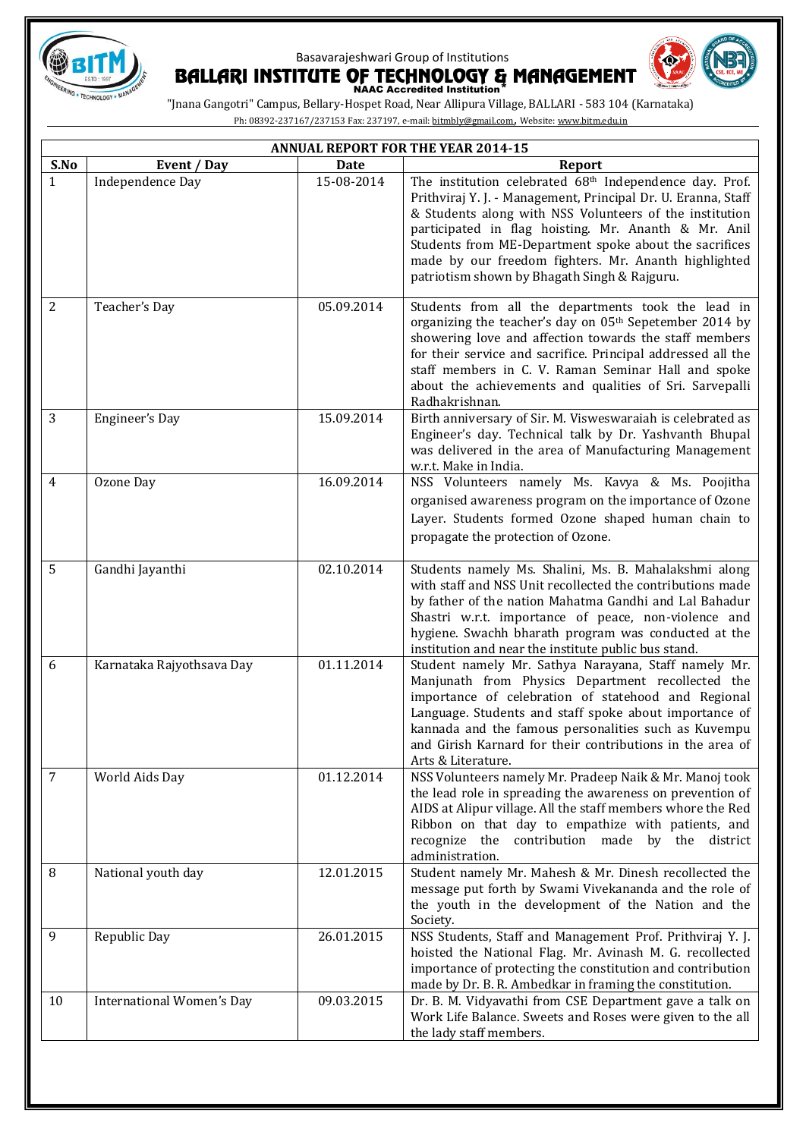



|              | <b>ANNUAL REPORT FOR THE YEAR 2014-15</b> |                  |                                                                                                                                                                                                                                                                                                                                                                                                                           |  |
|--------------|-------------------------------------------|------------------|---------------------------------------------------------------------------------------------------------------------------------------------------------------------------------------------------------------------------------------------------------------------------------------------------------------------------------------------------------------------------------------------------------------------------|--|
| S.No         | Event / Day                               | <b>Date</b>      | <b>Report</b>                                                                                                                                                                                                                                                                                                                                                                                                             |  |
| $\mathbf{1}$ | Independence Day                          | $15 - 08 - 2014$ | The institution celebrated 68 <sup>th</sup> Independence day. Prof.<br>Prithviraj Y. J. - Management, Principal Dr. U. Eranna, Staff<br>& Students along with NSS Volunteers of the institution<br>participated in flag hoisting. Mr. Ananth & Mr. Anil<br>Students from ME-Department spoke about the sacrifices<br>made by our freedom fighters. Mr. Ananth highlighted<br>patriotism shown by Bhagath Singh & Rajguru. |  |
| 2            | Teacher's Day                             | 05.09.2014       | Students from all the departments took the lead in<br>organizing the teacher's day on 05th Sepetember 2014 by<br>showering love and affection towards the staff members<br>for their service and sacrifice. Principal addressed all the<br>staff members in C. V. Raman Seminar Hall and spoke<br>about the achievements and qualities of Sri. Sarvepalli<br>Radhakrishnan.                                               |  |
| 3            | Engineer's Day                            | 15.09.2014       | Birth anniversary of Sir. M. Visweswaraiah is celebrated as<br>Engineer's day. Technical talk by Dr. Yashvanth Bhupal<br>was delivered in the area of Manufacturing Management<br>w.r.t. Make in India.                                                                                                                                                                                                                   |  |
| 4            | Ozone Day                                 | 16.09.2014       | NSS Volunteers namely Ms. Kavya & Ms. Poojitha                                                                                                                                                                                                                                                                                                                                                                            |  |
|              |                                           |                  | organised awareness program on the importance of Ozone                                                                                                                                                                                                                                                                                                                                                                    |  |
|              |                                           |                  | Layer. Students formed Ozone shaped human chain to                                                                                                                                                                                                                                                                                                                                                                        |  |
|              |                                           |                  | propagate the protection of Ozone.                                                                                                                                                                                                                                                                                                                                                                                        |  |
| 5            | Gandhi Jayanthi                           | 02.10.2014       | Students namely Ms. Shalini, Ms. B. Mahalakshmi along<br>with staff and NSS Unit recollected the contributions made<br>by father of the nation Mahatma Gandhi and Lal Bahadur<br>Shastri w.r.t. importance of peace, non-violence and<br>hygiene. Swachh bharath program was conducted at the<br>institution and near the institute public bus stand.                                                                     |  |
| 6            | Karnataka Rajyothsava Day                 | 01.11.2014       | Student namely Mr. Sathya Narayana, Staff namely Mr.<br>Manjunath from Physics Department recollected the<br>importance of celebration of statehood and Regional<br>Language. Students and staff spoke about importance of<br>kannada and the famous personalities such as Kuvempu<br>and Girish Karnard for their contributions in the area of<br>Arts & Literature.                                                     |  |
| 7            | World Aids Day                            | 01.12.2014       | NSS Volunteers namely Mr. Pradeep Naik & Mr. Manoj took<br>the lead role in spreading the awareness on prevention of<br>AIDS at Alipur village. All the staff members whore the Red<br>Ribbon on that day to empathize with patients, and<br>recognize the contribution made by the district<br>administration.                                                                                                           |  |
| 8            | National youth day                        | 12.01.2015       | Student namely Mr. Mahesh & Mr. Dinesh recollected the<br>message put forth by Swami Vivekananda and the role of<br>the youth in the development of the Nation and the<br>Society.                                                                                                                                                                                                                                        |  |
| 9            | Republic Day                              | 26.01.2015       | NSS Students, Staff and Management Prof. Prithviraj Y. J.<br>hoisted the National Flag. Mr. Avinash M. G. recollected<br>importance of protecting the constitution and contribution<br>made by Dr. B. R. Ambedkar in framing the constitution.                                                                                                                                                                            |  |
| 10           | International Women's Day                 | 09.03.2015       | Dr. B. M. Vidyavathi from CSE Department gave a talk on<br>Work Life Balance. Sweets and Roses were given to the all<br>the lady staff members.                                                                                                                                                                                                                                                                           |  |
|              |                                           |                  |                                                                                                                                                                                                                                                                                                                                                                                                                           |  |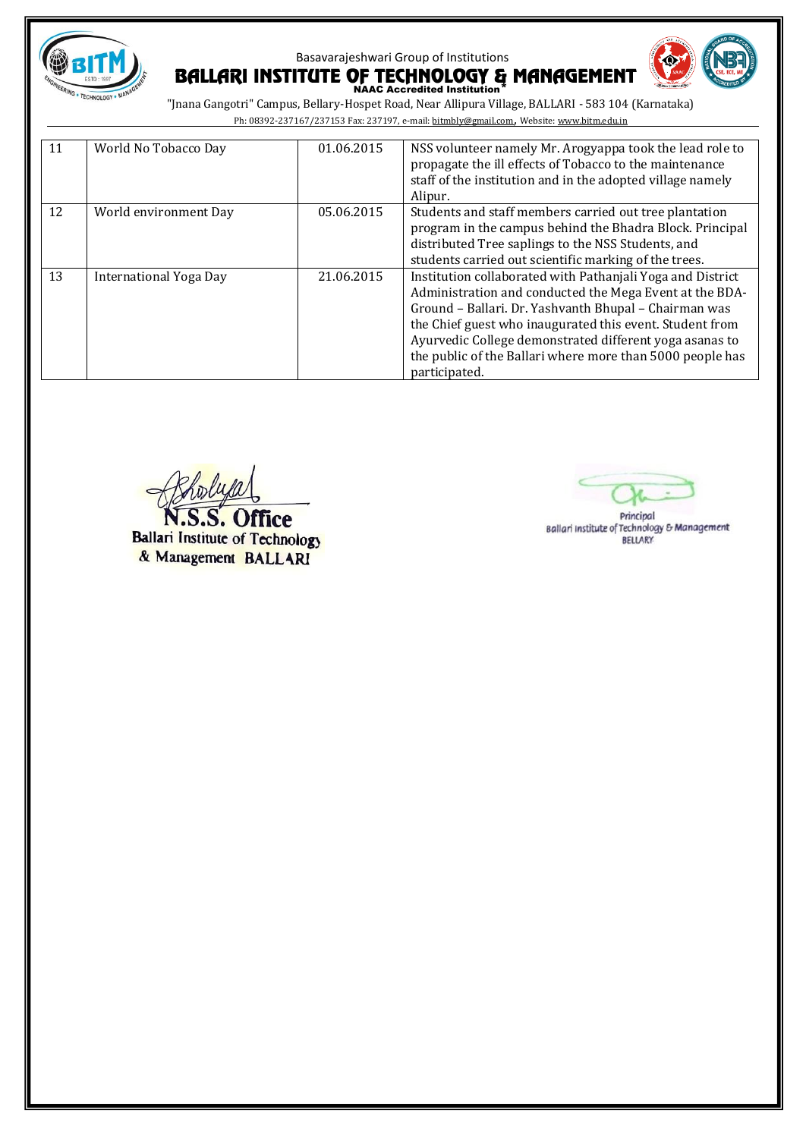

# Basavarajeshwari Group of Institutions BALLARI INSTITUTE OF TECHNOLOGY & MANAGEMENT



| 11 | World No Tobacco Day   | 01.06.2015 | NSS volunteer namely Mr. Arogyappa took the lead role to<br>propagate the ill effects of Tobacco to the maintenance<br>staff of the institution and in the adopted village namely<br>Alipur.                                                                                                                                                                                        |
|----|------------------------|------------|-------------------------------------------------------------------------------------------------------------------------------------------------------------------------------------------------------------------------------------------------------------------------------------------------------------------------------------------------------------------------------------|
| 12 | World environment Day  | 05.06.2015 | Students and staff members carried out tree plantation<br>program in the campus behind the Bhadra Block. Principal<br>distributed Tree saplings to the NSS Students, and<br>students carried out scientific marking of the trees.                                                                                                                                                   |
| 13 | International Yoga Day | 21.06.2015 | Institution collaborated with Pathanjali Yoga and District<br>Administration and conducted the Mega Event at the BDA-<br>Ground - Ballari. Dr. Yashvanth Bhupal - Chairman was<br>the Chief guest who inaugurated this event. Student from<br>Ayurvedic College demonstrated different yoga asanas to<br>the public of the Ballari where more than 5000 people has<br>participated. |

S. Office

**Ballari Institute of Technology** & Management BALLARI

Principal Ballari Institute of Technology & Management **BELLARY**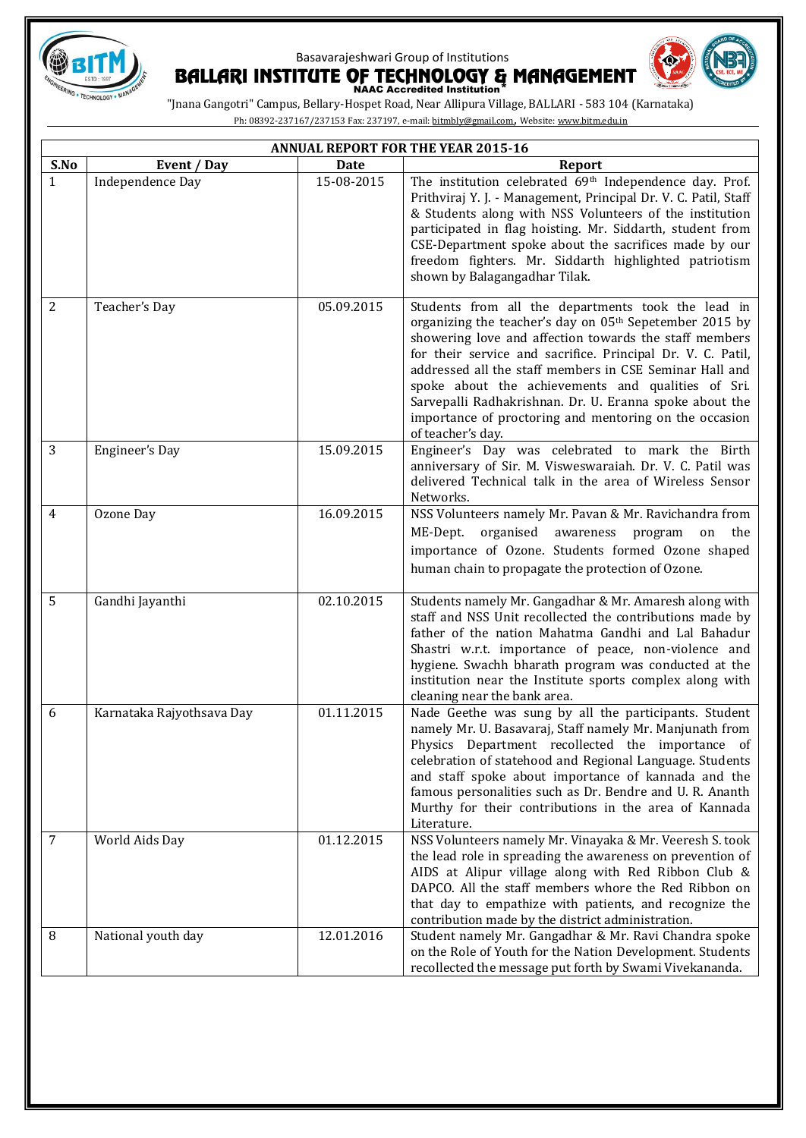



|                | <b>ANNUAL REPORT FOR THE YEAR 2015-16</b> |            |                                                                                                                                                                                                                                                                                                                                                                                                                                                                                                               |  |
|----------------|-------------------------------------------|------------|---------------------------------------------------------------------------------------------------------------------------------------------------------------------------------------------------------------------------------------------------------------------------------------------------------------------------------------------------------------------------------------------------------------------------------------------------------------------------------------------------------------|--|
| S.No           | Event / Day                               | Date       | Report                                                                                                                                                                                                                                                                                                                                                                                                                                                                                                        |  |
| $\mathbf{1}$   | Independence Day                          | 15-08-2015 | The institution celebrated 69th Independence day. Prof.<br>Prithviraj Y. J. - Management, Principal Dr. V. C. Patil, Staff<br>& Students along with NSS Volunteers of the institution<br>participated in flag hoisting. Mr. Siddarth, student from<br>CSE-Department spoke about the sacrifices made by our<br>freedom fighters. Mr. Siddarth highlighted patriotism<br>shown by Balagangadhar Tilak.                                                                                                         |  |
| $\overline{2}$ | Teacher's Day                             | 05.09.2015 | Students from all the departments took the lead in<br>organizing the teacher's day on 05 <sup>th</sup> Sepetember 2015 by<br>showering love and affection towards the staff members<br>for their service and sacrifice. Principal Dr. V. C. Patil,<br>addressed all the staff members in CSE Seminar Hall and<br>spoke about the achievements and qualities of Sri.<br>Sarvepalli Radhakrishnan. Dr. U. Eranna spoke about the<br>importance of proctoring and mentoring on the occasion<br>of teacher's day. |  |
| 3              | Engineer's Day                            | 15.09.2015 | Engineer's Day was celebrated to mark the Birth<br>anniversary of Sir. M. Visweswaraiah. Dr. V. C. Patil was<br>delivered Technical talk in the area of Wireless Sensor<br>Networks.                                                                                                                                                                                                                                                                                                                          |  |
| $\overline{4}$ | Ozone Day                                 | 16.09.2015 | NSS Volunteers namely Mr. Pavan & Mr. Ravichandra from<br>ME-Dept.<br>organised<br>awareness<br>the<br>program<br>on<br>importance of Ozone. Students formed Ozone shaped<br>human chain to propagate the protection of Ozone.                                                                                                                                                                                                                                                                                |  |
| 5              | Gandhi Jayanthi                           | 02.10.2015 | Students namely Mr. Gangadhar & Mr. Amaresh along with<br>staff and NSS Unit recollected the contributions made by<br>father of the nation Mahatma Gandhi and Lal Bahadur<br>Shastri w.r.t. importance of peace, non-violence and<br>hygiene. Swachh bharath program was conducted at the<br>institution near the Institute sports complex along with<br>cleaning near the bank area.                                                                                                                         |  |
| 6              | Karnataka Rajyothsava Day                 | 01.11.2015 | Nade Geethe was sung by all the participants. Student<br>namely Mr. U. Basavaraj, Staff namely Mr. Manjunath from<br>Physics Department recollected the importance of<br>celebration of statehood and Regional Language. Students<br>and staff spoke about importance of kannada and the<br>famous personalities such as Dr. Bendre and U. R. Ananth<br>Murthy for their contributions in the area of Kannada<br>Literature.                                                                                  |  |
| 7              | World Aids Day                            | 01.12.2015 | NSS Volunteers namely Mr. Vinayaka & Mr. Veeresh S. took<br>the lead role in spreading the awareness on prevention of<br>AIDS at Alipur village along with Red Ribbon Club &<br>DAPCO. All the staff members whore the Red Ribbon on<br>that day to empathize with patients, and recognize the<br>contribution made by the district administration.                                                                                                                                                           |  |
| 8              | National youth day                        | 12.01.2016 | Student namely Mr. Gangadhar & Mr. Ravi Chandra spoke<br>on the Role of Youth for the Nation Development. Students<br>recollected the message put forth by Swami Vivekananda.                                                                                                                                                                                                                                                                                                                                 |  |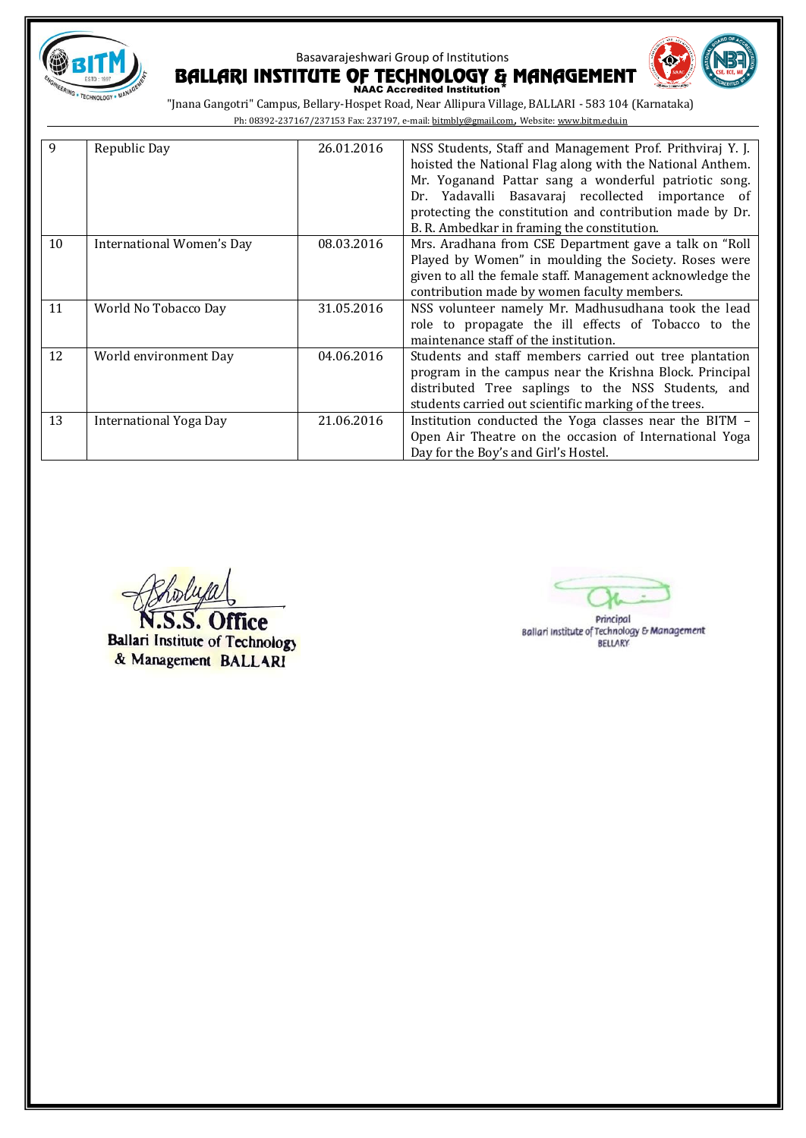



| 9  | Republic Day              | 26.01.2016 | NSS Students, Staff and Management Prof. Prithviraj Y. J.<br>hoisted the National Flag along with the National Anthem. |
|----|---------------------------|------------|------------------------------------------------------------------------------------------------------------------------|
|    |                           |            |                                                                                                                        |
|    |                           |            | Mr. Yoganand Pattar sang a wonderful patriotic song.                                                                   |
|    |                           |            | Dr. Yadavalli Basavaraj recollected importance of                                                                      |
|    |                           |            | protecting the constitution and contribution made by Dr.                                                               |
|    |                           |            | B. R. Ambedkar in framing the constitution.                                                                            |
| 10 | International Women's Day | 08.03.2016 | Mrs. Aradhana from CSE Department gave a talk on "Roll"                                                                |
|    |                           |            | Played by Women" in moulding the Society. Roses were                                                                   |
|    |                           |            | given to all the female staff. Management acknowledge the                                                              |
|    |                           |            | contribution made by women faculty members.                                                                            |
| 11 | World No Tobacco Day      | 31.05.2016 | NSS volunteer namely Mr. Madhusudhana took the lead                                                                    |
|    |                           |            | role to propagate the ill effects of Tobacco to the                                                                    |
|    |                           |            | maintenance staff of the institution.                                                                                  |
| 12 | World environment Day     | 04.06.2016 | Students and staff members carried out tree plantation                                                                 |
|    |                           |            | program in the campus near the Krishna Block. Principal                                                                |
|    |                           |            | distributed Tree saplings to the NSS Students, and                                                                     |
|    |                           |            | students carried out scientific marking of the trees.                                                                  |
| 13 | International Yoga Day    | 21.06.2016 | Institution conducted the Yoga classes near the BITM -                                                                 |
|    |                           |            | Open Air Theatre on the occasion of International Yoga                                                                 |
|    |                           |            | Day for the Boy's and Girl's Hostel.                                                                                   |

S. Office **Ballari Institute of Technology** & Management BALLARI

Principal<br>Ballari Institute of Technology & Management **BELLARY**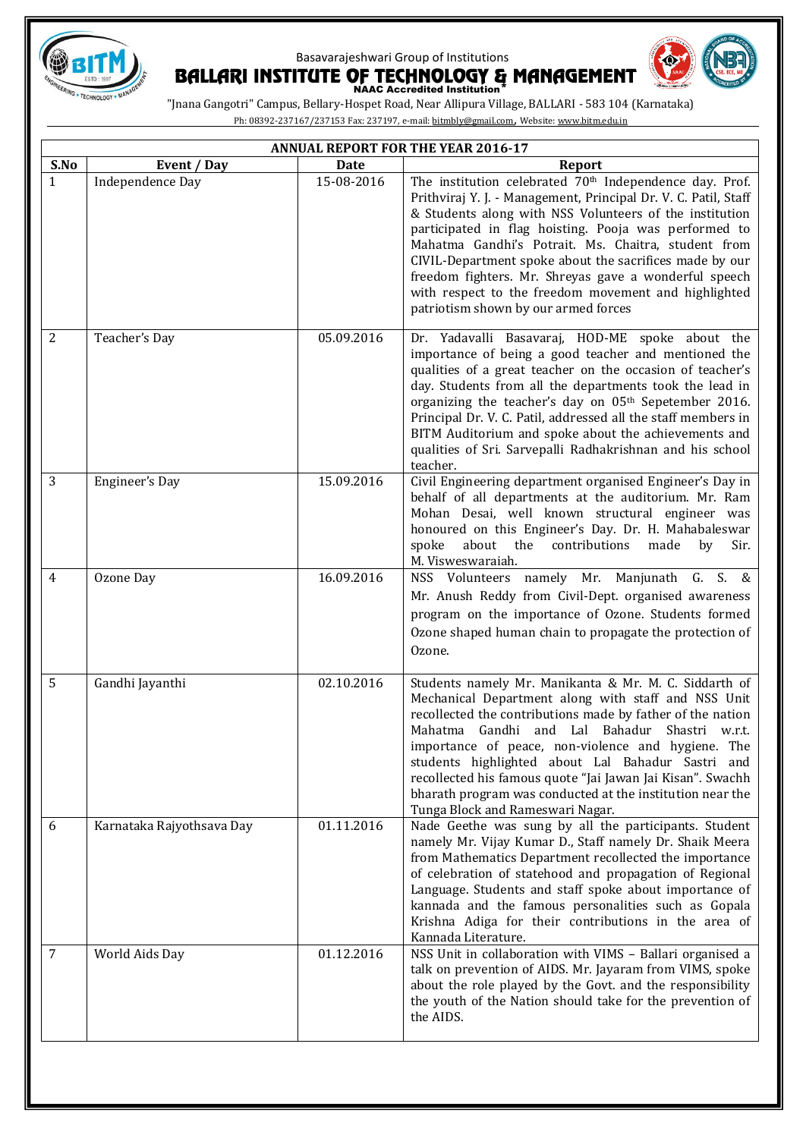



|                | ANNUAL REPORT FOR THE YEAR 2016-17 |             |                                                                                                                                                                                                                                                                                                                                                                                                                                                                                                                                       |  |
|----------------|------------------------------------|-------------|---------------------------------------------------------------------------------------------------------------------------------------------------------------------------------------------------------------------------------------------------------------------------------------------------------------------------------------------------------------------------------------------------------------------------------------------------------------------------------------------------------------------------------------|--|
| S.No           | Event / Day                        | <b>Date</b> | <b>Report</b>                                                                                                                                                                                                                                                                                                                                                                                                                                                                                                                         |  |
| $\mathbf{1}$   | Independence Day                   | 15-08-2016  | The institution celebrated 70 <sup>th</sup> Independence day. Prof.<br>Prithviraj Y. J. - Management, Principal Dr. V. C. Patil, Staff<br>& Students along with NSS Volunteers of the institution<br>participated in flag hoisting. Pooja was performed to<br>Mahatma Gandhi's Potrait. Ms. Chaitra, student from<br>CIVIL-Department spoke about the sacrifices made by our<br>freedom fighters. Mr. Shreyas gave a wonderful speech<br>with respect to the freedom movement and highlighted<br>patriotism shown by our armed forces |  |
| 2              | Teacher's Day                      | 05.09.2016  | Dr. Yadavalli Basavaraj, HOD-ME spoke about the<br>importance of being a good teacher and mentioned the<br>qualities of a great teacher on the occasion of teacher's<br>day. Students from all the departments took the lead in<br>organizing the teacher's day on 05 <sup>th</sup> Sepetember 2016.<br>Principal Dr. V. C. Patil, addressed all the staff members in<br>BITM Auditorium and spoke about the achievements and<br>qualities of Sri. Sarvepalli Radhakrishnan and his school<br>teacher.                                |  |
| 3              | Engineer's Day                     | 15.09.2016  | Civil Engineering department organised Engineer's Day in<br>behalf of all departments at the auditorium. Mr. Ram<br>Mohan Desai, well known structural engineer was<br>honoured on this Engineer's Day. Dr. H. Mahabaleswar<br>spoke<br>about<br>the<br>contributions<br>made<br>by<br>Sir.<br>M. Visweswaraiah.                                                                                                                                                                                                                      |  |
| $\overline{4}$ | Ozone Day                          | 16.09.2016  | NSS Volunteers namely Mr. Manjunath G. S. &<br>Mr. Anush Reddy from Civil-Dept. organised awareness<br>program on the importance of Ozone. Students formed<br>Ozone shaped human chain to propagate the protection of<br>Ozone.                                                                                                                                                                                                                                                                                                       |  |
| 5              | Gandhi Jayanthi                    | 02.10.2016  | Students namely Mr. Manikanta & Mr. M. C. Siddarth of<br>Mechanical Department along with staff and NSS Unit<br>recollected the contributions made by father of the nation<br>Mahatma Gandhi and Lal Bahadur Shastri w.r.t.<br>importance of peace, non-violence and hygiene. The<br>students highlighted about Lal Bahadur Sastri and<br>recollected his famous quote "Jai Jawan Jai Kisan". Swachh<br>bharath program was conducted at the institution near the<br>Tunga Block and Rameswari Nagar.                                 |  |
| 6              | Karnataka Rajyothsava Day          | 01.11.2016  | Nade Geethe was sung by all the participants. Student<br>namely Mr. Vijay Kumar D., Staff namely Dr. Shaik Meera<br>from Mathematics Department recollected the importance<br>of celebration of statehood and propagation of Regional<br>Language. Students and staff spoke about importance of<br>kannada and the famous personalities such as Gopala<br>Krishna Adiga for their contributions in the area of<br>Kannada Literature.                                                                                                 |  |
| 7              | World Aids Day                     | 01.12.2016  | NSS Unit in collaboration with VIMS - Ballari organised a<br>talk on prevention of AIDS. Mr. Jayaram from VIMS, spoke<br>about the role played by the Govt. and the responsibility<br>the youth of the Nation should take for the prevention of<br>the AIDS.                                                                                                                                                                                                                                                                          |  |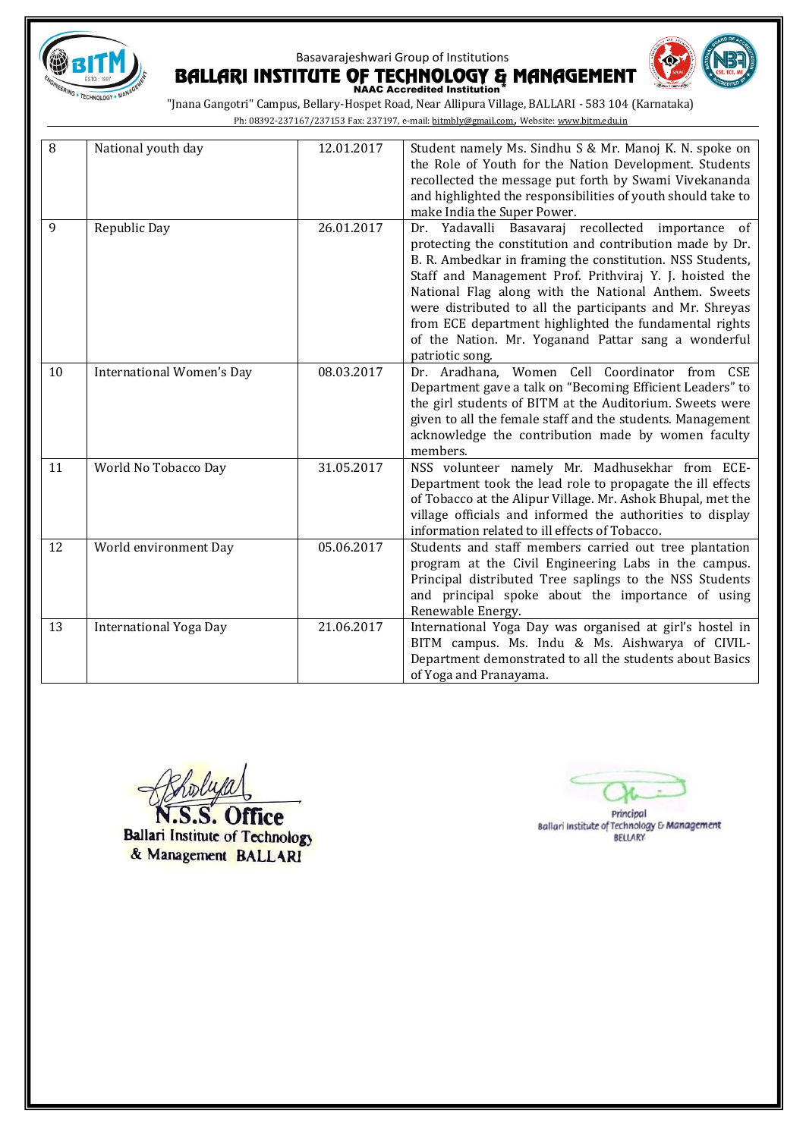



| 8  | National youth day               | 12.01.2017 | Student namely Ms. Sindhu S & Mr. Manoj K. N. spoke on<br>the Role of Youth for the Nation Development. Students<br>recollected the message put forth by Swami Vivekananda<br>and highlighted the responsibilities of youth should take to<br>make India the Super Power.                                                                                                                                                                                                                     |
|----|----------------------------------|------------|-----------------------------------------------------------------------------------------------------------------------------------------------------------------------------------------------------------------------------------------------------------------------------------------------------------------------------------------------------------------------------------------------------------------------------------------------------------------------------------------------|
| 9  | Republic Day                     | 26.01.2017 | Dr. Yadavalli Basavaraj recollected importance of<br>protecting the constitution and contribution made by Dr.<br>B. R. Ambedkar in framing the constitution. NSS Students,<br>Staff and Management Prof. Prithviraj Y. J. hoisted the<br>National Flag along with the National Anthem. Sweets<br>were distributed to all the participants and Mr. Shreyas<br>from ECE department highlighted the fundamental rights<br>of the Nation. Mr. Yoganand Pattar sang a wonderful<br>patriotic song. |
| 10 | <b>International Women's Day</b> | 08.03.2017 | Dr. Aradhana, Women Cell Coordinator from CSE<br>Department gave a talk on "Becoming Efficient Leaders" to<br>the girl students of BITM at the Auditorium. Sweets were<br>given to all the female staff and the students. Management<br>acknowledge the contribution made by women faculty<br>members.                                                                                                                                                                                        |
| 11 | World No Tobacco Day             | 31.05.2017 | NSS volunteer namely Mr. Madhusekhar from ECE-<br>Department took the lead role to propagate the ill effects<br>of Tobacco at the Alipur Village. Mr. Ashok Bhupal, met the<br>village officials and informed the authorities to display<br>information related to ill effects of Tobacco.                                                                                                                                                                                                    |
| 12 | World environment Day            | 05.06.2017 | Students and staff members carried out tree plantation<br>program at the Civil Engineering Labs in the campus.<br>Principal distributed Tree saplings to the NSS Students<br>and principal spoke about the importance of using<br>Renewable Energy.                                                                                                                                                                                                                                           |
| 13 | <b>International Yoga Day</b>    | 21.06.2017 | International Yoga Day was organised at girl's hostel in<br>BITM campus. Ms. Indu & Ms. Aishwarya of CIVIL-<br>Department demonstrated to all the students about Basics<br>of Yoga and Pranayama.                                                                                                                                                                                                                                                                                             |

N.S.S. Office **Ballari Institute of Technology** & Management BALLARI

Principal<br>Ballari Institute of Technology & Management<br>BELLARY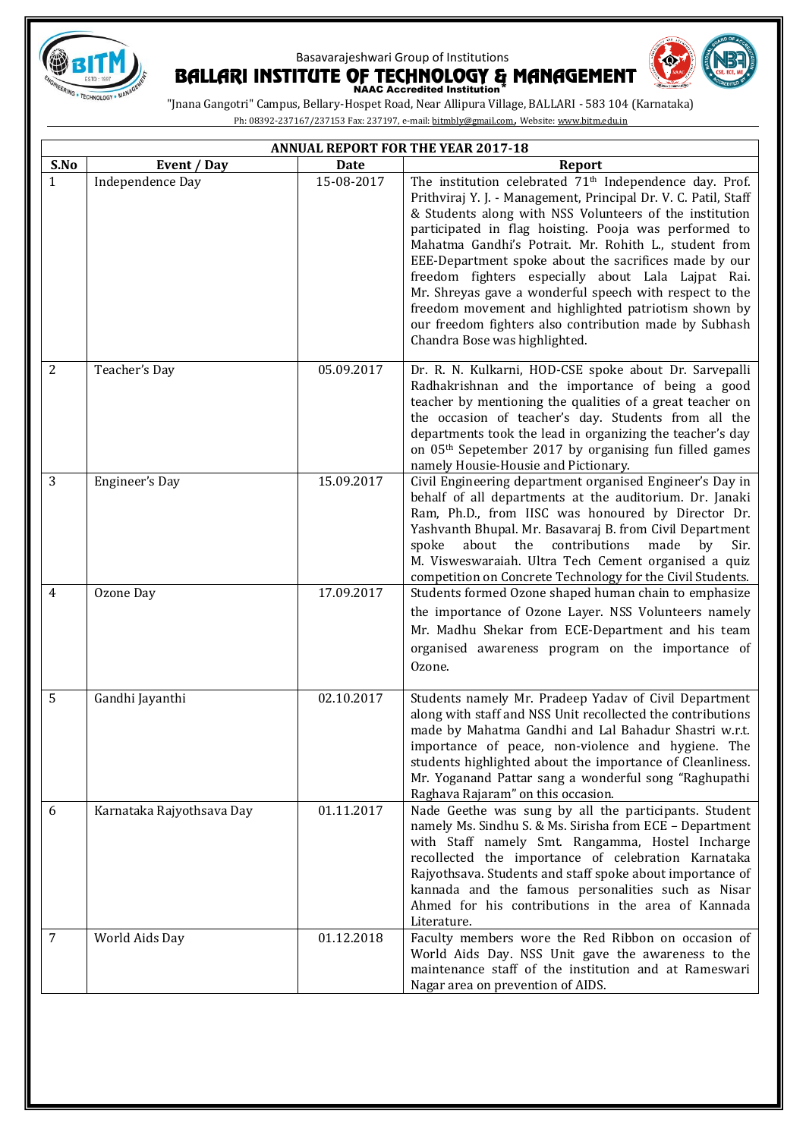





|                | <b>ANNUAL REPORT FOR THE YEAR 2017-18</b> |            |                                                                                                                                                                                                                                                                                                                                                                                                                                                                                                                                                                                                                                                  |  |
|----------------|-------------------------------------------|------------|--------------------------------------------------------------------------------------------------------------------------------------------------------------------------------------------------------------------------------------------------------------------------------------------------------------------------------------------------------------------------------------------------------------------------------------------------------------------------------------------------------------------------------------------------------------------------------------------------------------------------------------------------|--|
| S.No           | Event / Day                               | Date       | <b>Report</b>                                                                                                                                                                                                                                                                                                                                                                                                                                                                                                                                                                                                                                    |  |
| $\mathbf{1}$   | Independence Day                          | 15-08-2017 | The institution celebrated 71 <sup>th</sup> Independence day. Prof.<br>Prithviraj Y. J. - Management, Principal Dr. V. C. Patil, Staff<br>& Students along with NSS Volunteers of the institution<br>participated in flag hoisting. Pooja was performed to<br>Mahatma Gandhi's Potrait. Mr. Rohith L., student from<br>EEE-Department spoke about the sacrifices made by our<br>freedom fighters especially about Lala Lajpat Rai.<br>Mr. Shreyas gave a wonderful speech with respect to the<br>freedom movement and highlighted patriotism shown by<br>our freedom fighters also contribution made by Subhash<br>Chandra Bose was highlighted. |  |
| $\overline{2}$ | Teacher's Day                             | 05.09.2017 | Dr. R. N. Kulkarni, HOD-CSE spoke about Dr. Sarvepalli<br>Radhakrishnan and the importance of being a good<br>teacher by mentioning the qualities of a great teacher on<br>the occasion of teacher's day. Students from all the<br>departments took the lead in organizing the teacher's day<br>on 05 <sup>th</sup> Sepetember 2017 by organising fun filled games<br>namely Housie-Housie and Pictionary.                                                                                                                                                                                                                                       |  |
| 3              | Engineer's Day                            | 15.09.2017 | Civil Engineering department organised Engineer's Day in<br>behalf of all departments at the auditorium. Dr. Janaki<br>Ram, Ph.D., from IISC was honoured by Director Dr.<br>Yashvanth Bhupal. Mr. Basavaraj B. from Civil Department<br>about the<br>contributions<br>made<br>spoke<br>by<br>Sir.<br>M. Visweswaraiah. Ultra Tech Cement organised a quiz<br>competition on Concrete Technology for the Civil Students.                                                                                                                                                                                                                         |  |
| $\overline{4}$ | Ozone Day                                 | 17.09.2017 | Students formed Ozone shaped human chain to emphasize<br>the importance of Ozone Layer. NSS Volunteers namely<br>Mr. Madhu Shekar from ECE-Department and his team<br>organised awareness program on the importance of<br>Ozone.                                                                                                                                                                                                                                                                                                                                                                                                                 |  |
| 5              | Gandhi Jayanthi                           | 02.10.2017 | Students namely Mr. Pradeep Yadav of Civil Department<br>along with staff and NSS Unit recollected the contributions<br>made by Mahatma Gandhi and Lal Bahadur Shastri w.r.t.<br>importance of peace, non-violence and hygiene. The<br>students highlighted about the importance of Cleanliness.<br>Mr. Yoganand Pattar sang a wonderful song "Raghupathi<br>Raghava Rajaram" on this occasion.                                                                                                                                                                                                                                                  |  |
| 6              | Karnataka Rajyothsava Day                 | 01.11.2017 | Nade Geethe was sung by all the participants. Student<br>namely Ms. Sindhu S. & Ms. Sirisha from ECE - Department<br>with Staff namely Smt. Rangamma, Hostel Incharge<br>recollected the importance of celebration Karnataka<br>Rajyothsava. Students and staff spoke about importance of<br>kannada and the famous personalities such as Nisar<br>Ahmed for his contributions in the area of Kannada<br>Literature.                                                                                                                                                                                                                             |  |
| $\overline{7}$ | World Aids Day                            | 01.12.2018 | Faculty members wore the Red Ribbon on occasion of<br>World Aids Day. NSS Unit gave the awareness to the<br>maintenance staff of the institution and at Rameswari<br>Nagar area on prevention of AIDS.                                                                                                                                                                                                                                                                                                                                                                                                                                           |  |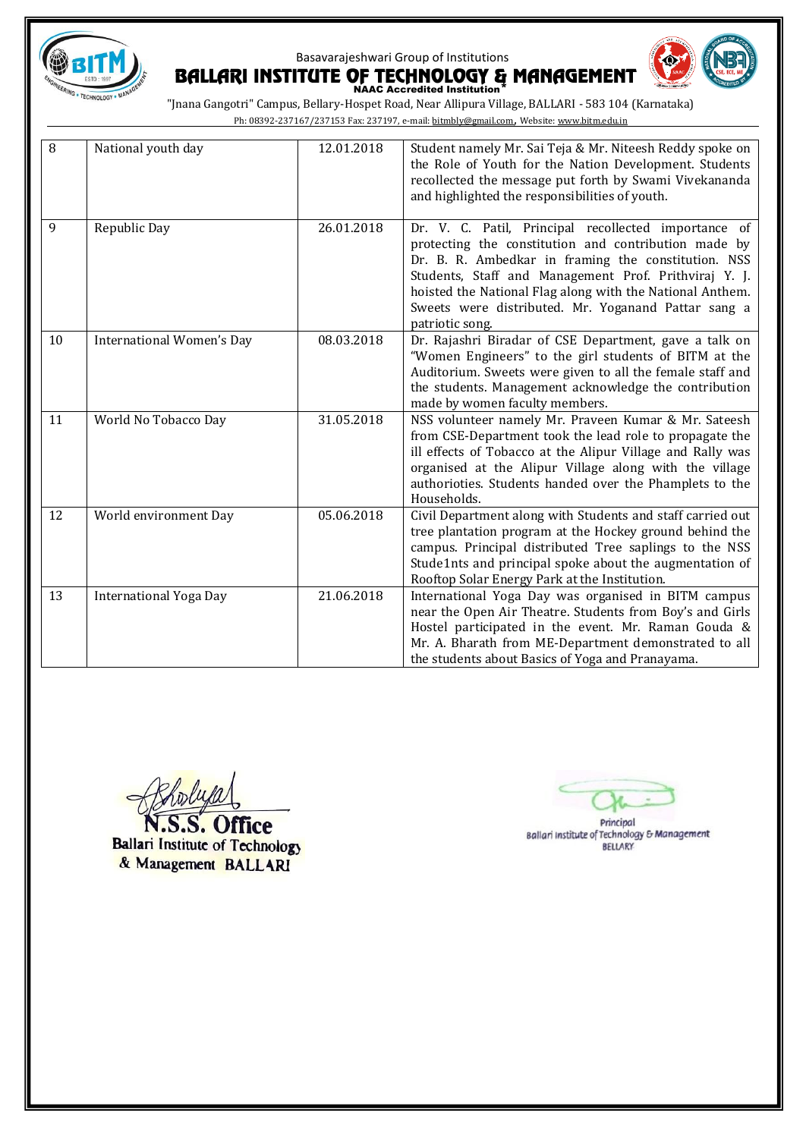



BALLARI INSTITUTE OF TECHNOLOGY & MANAGEMENT "Jnana Gangotri" Campus, Bellary-Hospet Road, Near Allipura Village, BALLARI - 583 104 (Karnataka)

Ph: 08392-237167/237153 Fax: 237197, e-mail[: bitmbly@gmail.com](mailto:bitmbly@gmail.com), Website[: www.bitm.edu.in](http://www.bec-bellary.com/)

| 8  | National youth day               | 12.01.2018 | Student namely Mr. Sai Teja & Mr. Niteesh Reddy spoke on<br>the Role of Youth for the Nation Development. Students<br>recollected the message put forth by Swami Vivekananda<br>and highlighted the responsibilities of youth.                                                                                                                                      |
|----|----------------------------------|------------|---------------------------------------------------------------------------------------------------------------------------------------------------------------------------------------------------------------------------------------------------------------------------------------------------------------------------------------------------------------------|
| 9  | Republic Day                     | 26.01.2018 | Dr. V. C. Patil, Principal recollected importance of<br>protecting the constitution and contribution made by<br>Dr. B. R. Ambedkar in framing the constitution. NSS<br>Students, Staff and Management Prof. Prithviraj Y. J.<br>hoisted the National Flag along with the National Anthem.<br>Sweets were distributed. Mr. Yoganand Pattar sang a<br>patriotic song. |
| 10 | <b>International Women's Day</b> | 08.03.2018 | Dr. Rajashri Biradar of CSE Department, gave a talk on<br>"Women Engineers" to the girl students of BITM at the<br>Auditorium. Sweets were given to all the female staff and<br>the students. Management acknowledge the contribution<br>made by women faculty members.                                                                                             |
| 11 | World No Tobacco Day             | 31.05.2018 | NSS volunteer namely Mr. Praveen Kumar & Mr. Sateesh<br>from CSE-Department took the lead role to propagate the<br>ill effects of Tobacco at the Alipur Village and Rally was<br>organised at the Alipur Village along with the village<br>authorioties. Students handed over the Phamplets to the<br>Households.                                                   |
| 12 | World environment Day            | 05.06.2018 | Civil Department along with Students and staff carried out<br>tree plantation program at the Hockey ground behind the<br>campus. Principal distributed Tree saplings to the NSS<br>Stude1nts and principal spoke about the augmentation of<br>Rooftop Solar Energy Park at the Institution.                                                                         |
| 13 | <b>International Yoga Day</b>    | 21.06.2018 | International Yoga Day was organised in BITM campus<br>near the Open Air Theatre. Students from Boy's and Girls<br>Hostel participated in the event. Mr. Raman Gouda &<br>Mr. A. Bharath from ME-Department demonstrated to all<br>the students about Basics of Yoga and Pranayama.                                                                                 |

.S.S. Office N **Ballari Institute of Technology** & Management BALLARI

Principal Ballari Institute of Technology & Management **BELLARY**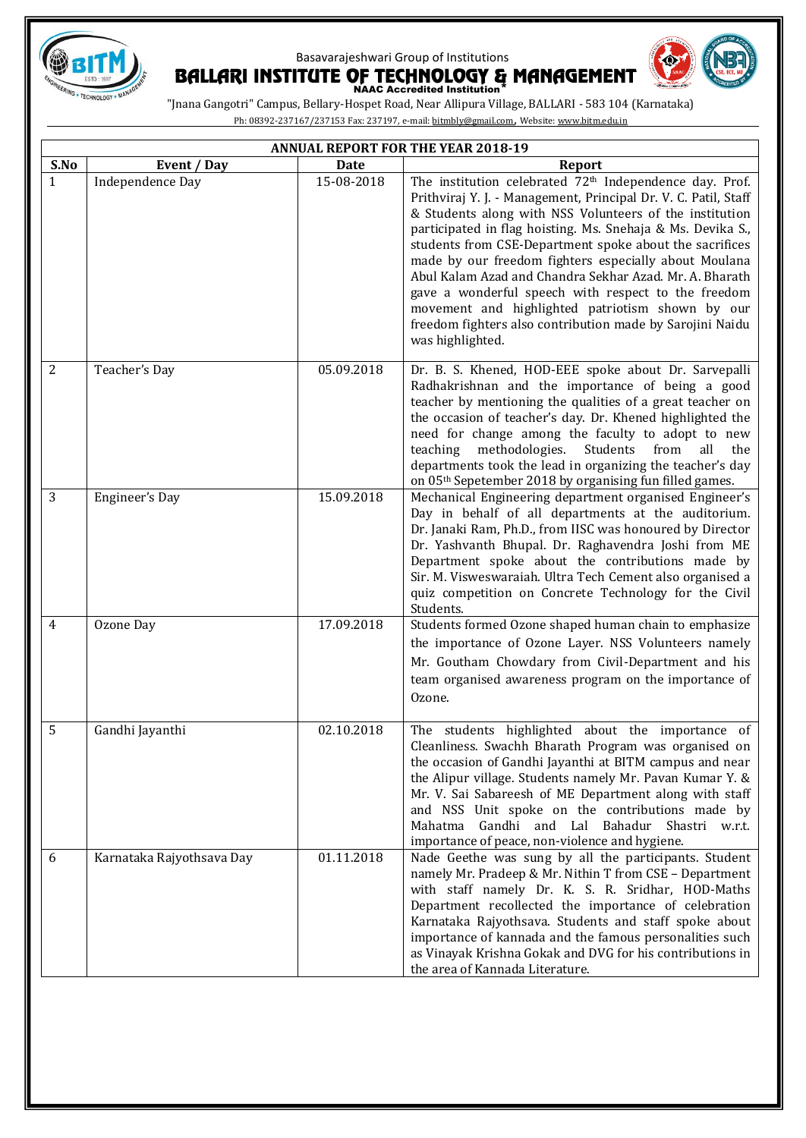





|                | <b>ANNUAL REPORT FOR THE YEAR 2018-19</b> |            |                                                                                                                                                                                                                                                                                                                                                                                                                                                                                                                                                                                                                                             |  |
|----------------|-------------------------------------------|------------|---------------------------------------------------------------------------------------------------------------------------------------------------------------------------------------------------------------------------------------------------------------------------------------------------------------------------------------------------------------------------------------------------------------------------------------------------------------------------------------------------------------------------------------------------------------------------------------------------------------------------------------------|--|
| S.No           | Event / Day                               | Date       | <b>Report</b>                                                                                                                                                                                                                                                                                                                                                                                                                                                                                                                                                                                                                               |  |
| $\mathbf{1}$   | Independence Day                          | 15-08-2018 | The institution celebrated 72 <sup>th</sup> Independence day. Prof.<br>Prithviraj Y. J. - Management, Principal Dr. V. C. Patil, Staff<br>& Students along with NSS Volunteers of the institution<br>participated in flag hoisting. Ms. Snehaja & Ms. Devika S.,<br>students from CSE-Department spoke about the sacrifices<br>made by our freedom fighters especially about Moulana<br>Abul Kalam Azad and Chandra Sekhar Azad. Mr. A. Bharath<br>gave a wonderful speech with respect to the freedom<br>movement and highlighted patriotism shown by our<br>freedom fighters also contribution made by Sarojini Naidu<br>was highlighted. |  |
| 2              | Teacher's Day                             | 05.09.2018 | Dr. B. S. Khened, HOD-EEE spoke about Dr. Sarvepalli<br>Radhakrishnan and the importance of being a good<br>teacher by mentioning the qualities of a great teacher on<br>the occasion of teacher's day. Dr. Khened highlighted the<br>need for change among the faculty to adopt to new<br>teaching<br>methodologies.<br>Students<br>from<br>all<br>the<br>departments took the lead in organizing the teacher's day<br>on 05 <sup>th</sup> Sepetember 2018 by organising fun filled games.                                                                                                                                                 |  |
| 3              | Engineer's Day                            | 15.09.2018 | Mechanical Engineering department organised Engineer's<br>Day in behalf of all departments at the auditorium.<br>Dr. Janaki Ram, Ph.D., from IISC was honoured by Director<br>Dr. Yashvanth Bhupal. Dr. Raghavendra Joshi from ME<br>Department spoke about the contributions made by<br>Sir. M. Visweswaraiah. Ultra Tech Cement also organised a<br>quiz competition on Concrete Technology for the Civil<br>Students.                                                                                                                                                                                                                    |  |
| $\overline{4}$ | Ozone Day                                 | 17.09.2018 | Students formed Ozone shaped human chain to emphasize<br>the importance of Ozone Layer. NSS Volunteers namely<br>Mr. Goutham Chowdary from Civil-Department and his<br>team organised awareness program on the importance of<br>Ozone.                                                                                                                                                                                                                                                                                                                                                                                                      |  |
| 5              | Gandhi Jayanthi                           | 02.10.2018 | The students highlighted about the importance of<br>Cleanliness. Swachh Bharath Program was organised on<br>the occasion of Gandhi Jayanthi at BITM campus and near<br>the Alipur village. Students namely Mr. Pavan Kumar Y. &<br>Mr. V. Sai Sabareesh of ME Department along with staff<br>and NSS Unit spoke on the contributions made by<br>Gandhi and Lal Bahadur Shastri w.r.t.<br>Mahatma<br>importance of peace, non-violence and hygiene.                                                                                                                                                                                          |  |
| 6              | Karnataka Rajyothsava Day                 | 01.11.2018 | Nade Geethe was sung by all the participants. Student<br>namely Mr. Pradeep & Mr. Nithin T from CSE - Department<br>with staff namely Dr. K. S. R. Sridhar, HOD-Maths<br>Department recollected the importance of celebration<br>Karnataka Rajyothsava. Students and staff spoke about<br>importance of kannada and the famous personalities such<br>as Vinayak Krishna Gokak and DVG for his contributions in<br>the area of Kannada Literature.                                                                                                                                                                                           |  |